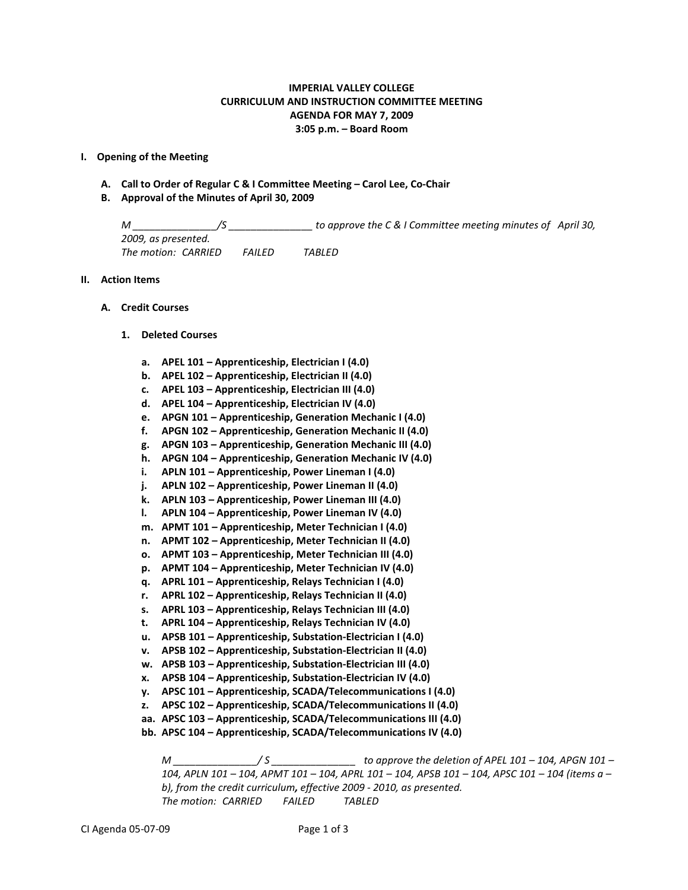# **IMPERIAL VALLEY COLLEGE CURRICULUM AND INSTRUCTION COMMITTEE MEETING AGENDA FOR MAY 7, 2009 3:05 p.m. – Board Room**

## **I. Opening of the Meeting**

- **A. Call to Order of Regular C & I Committee Meeting – Carol Lee, Co-Chair**
- **B. Approval of the Minutes of April 30, 2009**

*M \_\_\_\_\_\_\_\_\_\_\_\_\_\_\_/S \_\_\_\_\_\_\_\_\_\_\_\_\_\_\_ to approve the C & I Committee meeting minutes of April 30, 2009, as presented. The motion: CARRIED FAILED TABLED*

### **II. Action Items**

- **A. Credit Courses**
	- **1. Deleted Courses**
		- **a. APEL 101 – Apprenticeship, Electrician I (4.0)**
		- **b. APEL 102 – Apprenticeship, Electrician II (4.0)**
		- **c. APEL 103 – Apprenticeship, Electrician III (4.0)**
		- **d. APEL 104 – Apprenticeship, Electrician IV (4.0)**
		- **e. APGN 101 – Apprenticeship, Generation Mechanic I (4.0)**
		- **f. APGN 102 – Apprenticeship, Generation Mechanic II (4.0)**
		- **g. APGN 103 – Apprenticeship, Generation Mechanic III (4.0)**
		- **h. APGN 104 – Apprenticeship, Generation Mechanic IV (4.0)**
		- **i. APLN 101 – Apprenticeship, Power Lineman I (4.0)**
		- **j. APLN 102 – Apprenticeship, Power Lineman II (4.0)**
		- **k. APLN 103 – Apprenticeship, Power Lineman III (4.0)**
		- **l. APLN 104 – Apprenticeship, Power Lineman IV (4.0)**
		- **m. APMT 101 – Apprenticeship, Meter Technician I (4.0)**
		- **n. APMT 102 – Apprenticeship, Meter Technician II (4.0)**
		- **o. APMT 103 – Apprenticeship, Meter Technician III (4.0)**
		- **p. APMT 104 – Apprenticeship, Meter Technician IV (4.0)**
		- **q. APRL 101 – Apprenticeship, Relays Technician I (4.0)**
		- **r. APRL 102 – Apprenticeship, Relays Technician II (4.0)**
		- **s. APRL 103 – Apprenticeship, Relays Technician III (4.0)**
		- **t. APRL 104 – Apprenticeship, Relays Technician IV (4.0)**
		- **u. APSB 101 – Apprenticeship, Substation-Electrician I (4.0)**
		- **v. APSB 102 – Apprenticeship, Substation-Electrician II (4.0)**
		- **w. APSB 103 – Apprenticeship, Substation-Electrician III (4.0)**
		- **x. APSB 104 – Apprenticeship, Substation-Electrician IV (4.0)**
		- **y. APSC 101 – Apprenticeship, SCADA/Telecommunications I (4.0)**
		- **z. APSC 102 – Apprenticeship, SCADA/Telecommunications II (4.0)**
		- **aa. APSC 103 – Apprenticeship, SCADA/Telecommunications III (4.0)**
		- **bb. APSC 104 – Apprenticeship, SCADA/Telecommunications IV (4.0)**

*M \_\_\_\_\_\_\_\_\_\_\_\_\_\_\_/ S \_\_\_\_\_\_\_\_\_\_\_\_\_\_\_ to approve the deletion of APEL 101 – 104, APGN 101 – 104, APLN 101 – 104, APMT 101 – 104, APRL 101 – 104, APSB 101 – 104, APSC 101 – 104 (items a – b), from the credit curriculum, effective 2009 - 2010, as presented. The motion: CARRIED FAILED TABLED*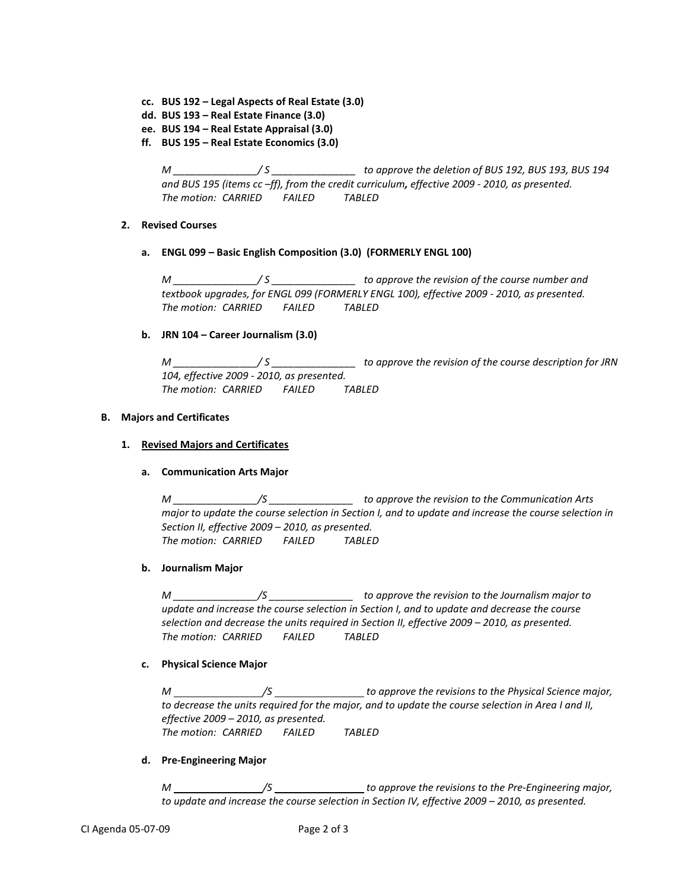- **cc. BUS 192 – Legal Aspects of Real Estate (3.0)**
- **dd. BUS 193 – Real Estate Finance (3.0)**
- **ee. BUS 194 – Real Estate Appraisal (3.0)**
- **ff. BUS 195 – Real Estate Economics (3.0)**

*M \_\_\_\_\_\_\_\_\_\_\_\_\_\_\_/ S \_\_\_\_\_\_\_\_\_\_\_\_\_\_\_ to approve the deletion of BUS 192, BUS 193, BUS 194 and BUS 195 (items cc –ff), from the credit curriculum, effective 2009 - 2010, as presented. The motion: CARRIED FAILED TABLED*

## **2. Revised Courses**

**a. ENGL 099 – Basic English Composition (3.0) (FORMERLY ENGL 100)**

*M \_\_\_\_\_\_\_\_\_\_\_\_\_\_\_/ S \_\_\_\_\_\_\_\_\_\_\_\_\_\_\_ to approve the revision of the course number and textbook upgrades, for ENGL 099 (FORMERLY ENGL 100), effective 2009 - 2010, as presented. The motion: CARRIED FAILED TABLED*

## **b. JRN 104 – Career Journalism (3.0)**

*M \_\_\_\_\_\_\_\_\_\_\_\_\_\_\_/ S \_\_\_\_\_\_\_\_\_\_\_\_\_\_\_ to approve the revision of the course description for JRN 104, effective 2009 - 2010, as presented. The motion: CARRIED FAILED TABLED*

## **B. Majors and Certificates**

## **1. Revised Majors and Certificates**

#### **a. Communication Arts Major**

*M \_\_\_\_\_\_\_\_\_\_\_\_\_\_\_/S \_\_\_\_\_\_\_\_\_\_\_\_\_\_\_ to approve the revision to the Communication Arts major to update the course selection in Section I, and to update and increase the course selection in Section II, effective 2009 – 2010, as presented. The motion: CARRIED FAILED TABLED*

### **b. Journalism Major**

*M \_\_\_\_\_\_\_\_\_\_\_\_\_\_\_/S \_\_\_\_\_\_\_\_\_\_\_\_\_\_\_ to approve the revision to the Journalism major to update and increase the course selection in Section I, and to update and decrease the course selection and decrease the units required in Section II, effective 2009 – 2010, as presented. The motion: CARRIED FAILED TABLED*

#### **c. Physical Science Major**

*M /S to approve the revisions to the Physical Science major, to decrease the units required for the major, and to update the course selection in Area I and II, effective 2009 – 2010, as presented. The motion: CARRIED FAILED TABLED*

### **d. Pre-Engineering Major**

*M \_\_\_\_\_\_\_\_\_\_\_\_\_\_\_\_/S* \_\_\_\_\_\_\_\_\_\_\_\_\_\_\_\_\_to approve the revisions to the Pre-Engineering major, *to update and increase the course selection in Section IV, effective 2009 – 2010, as presented.*